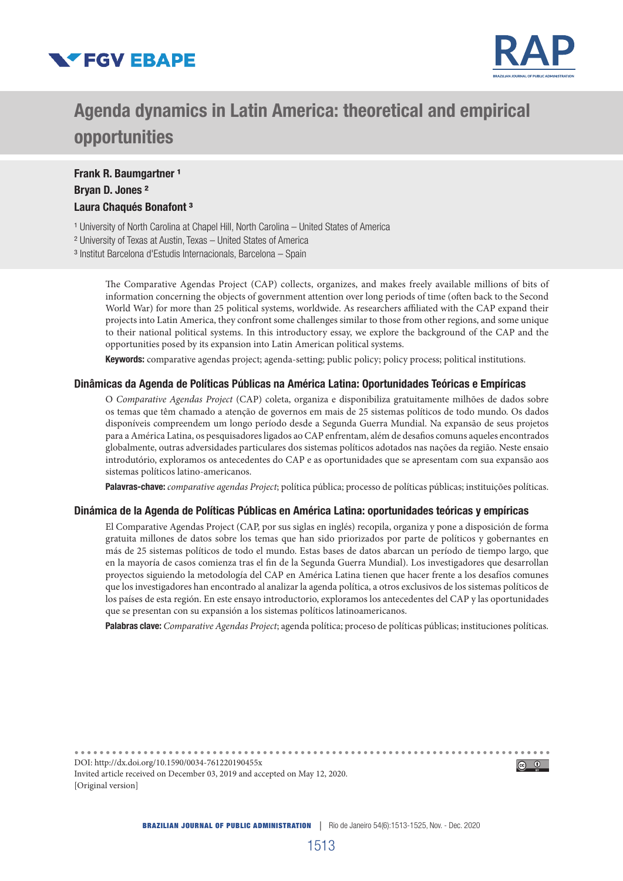



# Agenda dynamics in Latin America: theoretical and empirical opportunities

# Frank R. Baumgartner<sup>1</sup> Bryan D. Jones ² Laura Chaqués Bonafont<sup>3</sup>

<sup>1</sup> University of North Carolina at Chapel Hill, North Carolina - United States of America

² University of Texas at Austin, Texas – United States of America

³ Institut Barcelona d'Estudis Internacionals, Barcelona – Spain

The Comparative Agendas Project (CAP) collects, organizes, and makes freely available millions of bits of information concerning the objects of government attention over long periods of time (often back to the Second World War) for more than 25 political systems, worldwide. As researchers affiliated with the CAP expand their projects into Latin America, they confront some challenges similar to those from other regions, and some unique to their national political systems. In this introductory essay, we explore the background of the CAP and the opportunities posed by its expansion into Latin American political systems.

Keywords: comparative agendas project; agenda-setting; public policy; policy process; political institutions.

#### Dinâmicas da Agenda de Políticas Públicas na América Latina: Oportunidades Teóricas e Empíricas

O *Comparative Agendas Project* (CAP) coleta, organiza e disponibiliza gratuitamente milhões de dados sobre os temas que têm chamado a atenção de governos em mais de 25 sistemas políticos de todo mundo. Os dados disponíveis compreendem um longo período desde a Segunda Guerra Mundial. Na expansão de seus projetos para a América Latina, os pesquisadores ligados ao CAP enfrentam, além de desafios comuns aqueles encontrados globalmente, outras adversidades particulares dos sistemas políticos adotados nas nações da região. Neste ensaio introdutório, exploramos os antecedentes do CAP e as oportunidades que se apresentam com sua expansão aos sistemas políticos latino-americanos.

Palavras-chave: *comparative agendas Project*; política pública; processo de políticas públicas; instituições políticas.

#### Dinámica de la Agenda de Políticas Públicas en América Latina: oportunidades teóricas y empíricas

El Comparative Agendas Project (CAP, por sus siglas en inglés) recopila, organiza y pone a disposición de forma gratuita millones de datos sobre los temas que han sido priorizados por parte de políticos y gobernantes en más de 25 sistemas políticos de todo el mundo. Estas bases de datos abarcan un período de tiempo largo, que en la mayoría de casos comienza tras el fin de la Segunda Guerra Mundial). Los investigadores que desarrollan proyectos siguiendo la metodología del CAP en América Latina tienen que hacer frente a los desafíos comunes que los investigadores han encontrado al analizar la agenda política, a otros exclusivos de los sistemas políticos de los países de esta región. En este ensayo introductorio, exploramos los antecedentes del CAP y las oportunidades que se presentan con su expansión a los sistemas políticos latinoamericanos.

Palabras clave: *Comparative Agendas Project*; agenda política; proceso de políticas públicas; instituciones políticas.

DOI: http://dx.doi.org/10.1590/0034-761220190455x  $\circledcirc$   $\circledcirc$ Invited article received on December 03, 2019 and accepted on May 12, 2020. [Original version]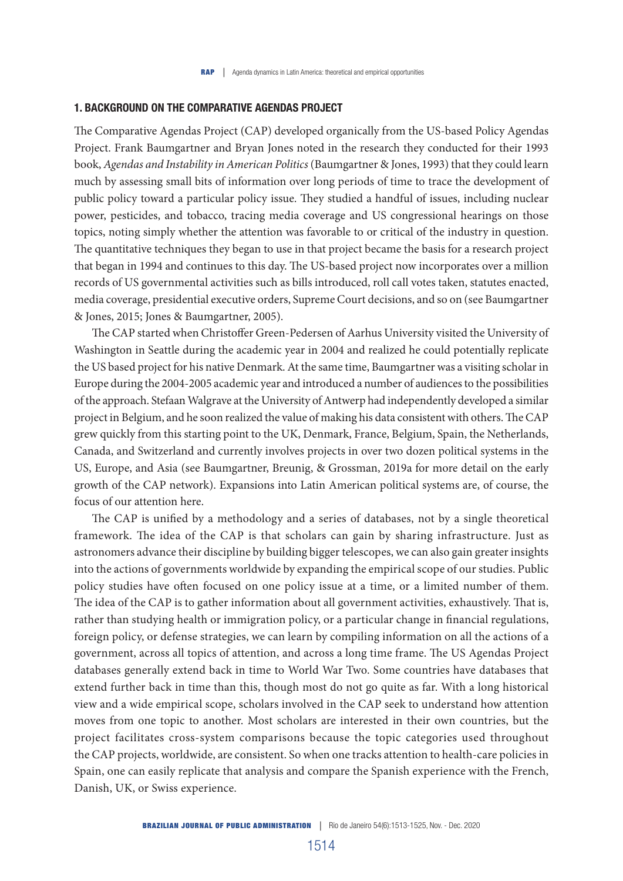## 1. BACKGROUND ON THE COMPARATIVE AGENDAS PROJECT

The Comparative Agendas Project (CAP) developed organically from the US-based Policy Agendas Project. Frank Baumgartner and Bryan Jones noted in the research they conducted for their 1993 book, *Agendas and Instability in American Politics* (Baumgartner & Jones, 1993) that they could learn much by assessing small bits of information over long periods of time to trace the development of public policy toward a particular policy issue. They studied a handful of issues, including nuclear power, pesticides, and tobacco, tracing media coverage and US congressional hearings on those topics, noting simply whether the attention was favorable to or critical of the industry in question. The quantitative techniques they began to use in that project became the basis for a research project that began in 1994 and continues to this day. The US-based project now incorporates over a million records of US governmental activities such as bills introduced, roll call votes taken, statutes enacted, media coverage, presidential executive orders, Supreme Court decisions, and so on (see Baumgartner & Jones, 2015; Jones & Baumgartner, 2005).

The CAP started when Christoffer Green-Pedersen of Aarhus University visited the University of Washington in Seattle during the academic year in 2004 and realized he could potentially replicate the US based project for his native Denmark. At the same time, Baumgartner was a visiting scholar in Europe during the 2004-2005 academic year and introduced a number of audiences to the possibilities of the approach. Stefaan Walgrave at the University of Antwerp had independently developed a similar project in Belgium, and he soon realized the value of making his data consistent with others. The CAP grew quickly from this starting point to the UK, Denmark, France, Belgium, Spain, the Netherlands, Canada, and Switzerland and currently involves projects in over two dozen political systems in the US, Europe, and Asia (see Baumgartner, Breunig, & Grossman, 2019a for more detail on the early growth of the CAP network). Expansions into Latin American political systems are, of course, the focus of our attention here.

The CAP is unified by a methodology and a series of databases, not by a single theoretical framework. The idea of the CAP is that scholars can gain by sharing infrastructure. Just as astronomers advance their discipline by building bigger telescopes, we can also gain greater insights into the actions of governments worldwide by expanding the empirical scope of our studies. Public policy studies have often focused on one policy issue at a time, or a limited number of them. The idea of the CAP is to gather information about all government activities, exhaustively. That is, rather than studying health or immigration policy, or a particular change in financial regulations, foreign policy, or defense strategies, we can learn by compiling information on all the actions of a government, across all topics of attention, and across a long time frame. The US Agendas Project databases generally extend back in time to World War Two. Some countries have databases that extend further back in time than this, though most do not go quite as far. With a long historical view and a wide empirical scope, scholars involved in the CAP seek to understand how attention moves from one topic to another. Most scholars are interested in their own countries, but the project facilitates cross-system comparisons because the topic categories used throughout the CAP projects, worldwide, are consistent. So when one tracks attention to health-care policies in Spain, one can easily replicate that analysis and compare the Spanish experience with the French, Danish, UK, or Swiss experience.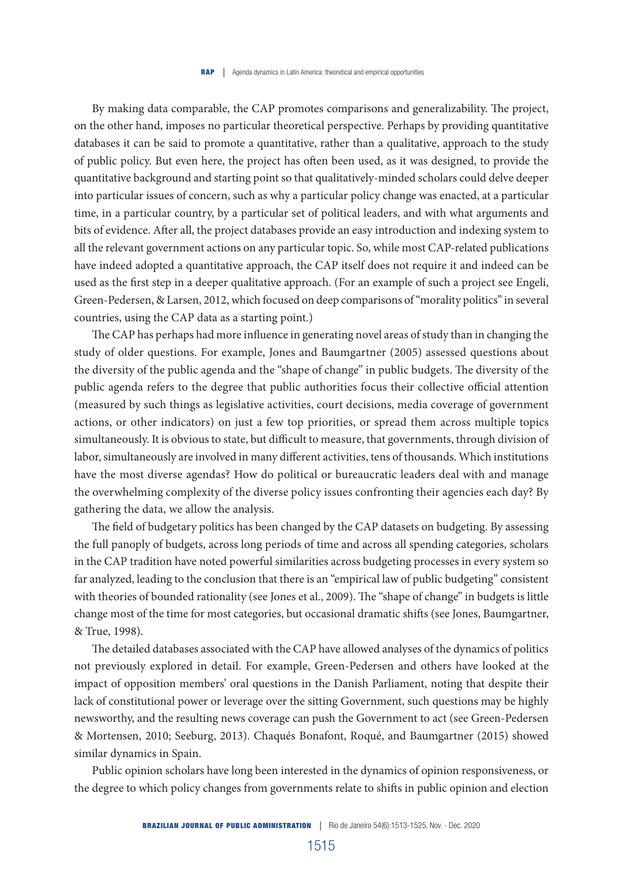By making data comparable, the CAP promotes comparisons and generalizability. The project, on the other hand, imposes no particular theoretical perspective. Perhaps by providing quantitative databases it can be said to promote a quantitative, rather than a qualitative, approach to the study of public policy. But even here, the project has often been used, as it was designed, to provide the quantitative background and starting point so that qualitatively-minded scholars could delve deeper into particular issues of concern, such as why a particular policy change was enacted, at a particular time, in a particular country, by a particular set of political leaders, and with what arguments and bits of evidence. After all, the project databases provide an easy introduction and indexing system to all the relevant government actions on any particular topic. So, while most CAP-related publications have indeed adopted a quantitative approach, the CAP itself does not require it and indeed can be used as the first step in a deeper qualitative approach. (For an example of such a project see Engeli, Green-Pedersen, & Larsen, 2012, which focused on deep comparisons of "morality politics" in several countries, using the CAP data as a starting point.)

The CAP has perhaps had more influence in generating novel areas of study than in changing the study of older questions. For example, Jones and Baumgartner (2005) assessed questions about the diversity of the public agenda and the "shape of change" in public budgets. The diversity of the public agenda refers to the degree that public authorities focus their collective official attention (measured by such things as legislative activities, court decisions, media coverage of government actions, or other indicators) on just a few top priorities, or spread them across multiple topics simultaneously. It is obvious to state, but difficult to measure, that governments, through division of labor, simultaneously are involved in many different activities, tens of thousands. Which institutions have the most diverse agendas? How do political or bureaucratic leaders deal with and manage the overwhelming complexity of the diverse policy issues confronting their agencies each day? By gathering the data, we allow the analysis.

The field of budgetary politics has been changed by the CAP datasets on budgeting. By assessing the full panoply of budgets, across long periods of time and across all spending categories, scholars in the CAP tradition have noted powerful similarities across budgeting processes in every system so far analyzed, leading to the conclusion that there is an "empirical law of public budgeting" consistent with theories of bounded rationality (see Jones et al., 2009). The "shape of change" in budgets is little change most of the time for most categories, but occasional dramatic shifts (see Jones, Baumgartner, & True, 1998).

The detailed databases associated with the CAP have allowed analyses of the dynamics of politics not previously explored in detail. For example, Green-Pedersen and others have looked at the impact of opposition members' oral questions in the Danish Parliament, noting that despite their lack of constitutional power or leverage over the sitting Government, such questions may be highly newsworthy, and the resulting news coverage can push the Government to act (see Green-Pedersen & Mortensen, 2010; Seeburg, 2013). Chaqués Bonafont, Roqué, and Baumgartner (2015) showed similar dynamics in Spain.

Public opinion scholars have long been interested in the dynamics of opinion responsiveness, or the degree to which policy changes from governments relate to shifts in public opinion and election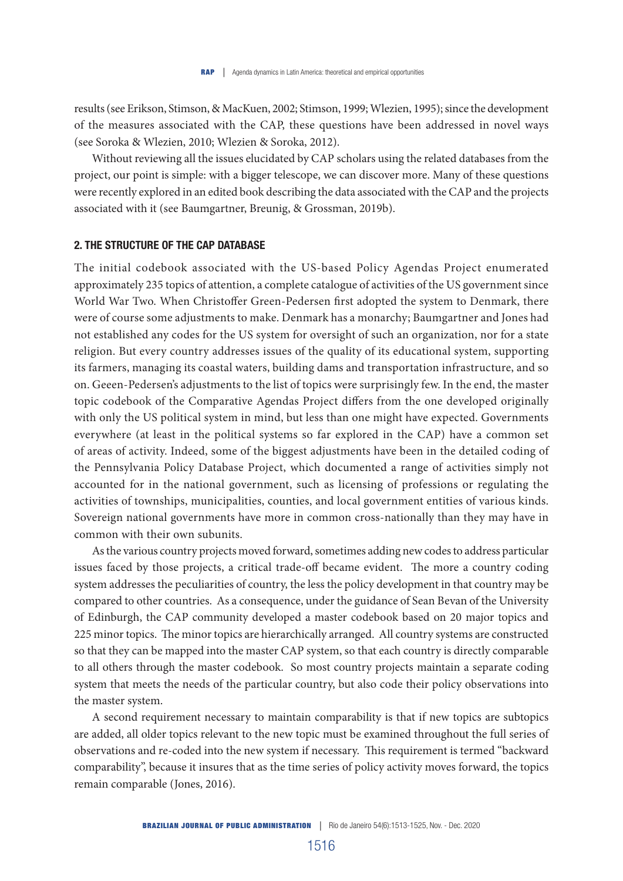results (see Erikson, Stimson, & MacKuen, 2002; Stimson, 1999; Wlezien, 1995); since the development of the measures associated with the CAP, these questions have been addressed in novel ways (see Soroka & Wlezien, 2010; Wlezien & Soroka, 2012).

Without reviewing all the issues elucidated by CAP scholars using the related databases from the project, our point is simple: with a bigger telescope, we can discover more. Many of these questions were recently explored in an edited book describing the data associated with the CAP and the projects associated with it (see Baumgartner, Breunig, & Grossman, 2019b).

#### 2. THE STRUCTURE OF THE CAP DATABASE

The initial codebook associated with the US-based Policy Agendas Project enumerated approximately 235 topics of attention, a complete catalogue of activities of the US government since World War Two. When Christoffer Green-Pedersen first adopted the system to Denmark, there were of course some adjustments to make. Denmark has a monarchy; Baumgartner and Jones had not established any codes for the US system for oversight of such an organization, nor for a state religion. But every country addresses issues of the quality of its educational system, supporting its farmers, managing its coastal waters, building dams and transportation infrastructure, and so on. Geeen-Pedersen's adjustments to the list of topics were surprisingly few. In the end, the master topic codebook of the Comparative Agendas Project differs from the one developed originally with only the US political system in mind, but less than one might have expected. Governments everywhere (at least in the political systems so far explored in the CAP) have a common set of areas of activity. Indeed, some of the biggest adjustments have been in the detailed coding of the Pennsylvania Policy Database Project, which documented a range of activities simply not accounted for in the national government, such as licensing of professions or regulating the activities of townships, municipalities, counties, and local government entities of various kinds. Sovereign national governments have more in common cross-nationally than they may have in common with their own subunits.

As the various country projects moved forward, sometimes adding new codes to address particular issues faced by those projects, a critical trade-off became evident. The more a country coding system addresses the peculiarities of country, the less the policy development in that country may be compared to other countries. As a consequence, under the guidance of Sean Bevan of the University of Edinburgh, the CAP community developed a master codebook based on 20 major topics and 225 minor topics. The minor topics are hierarchically arranged. All country systems are constructed so that they can be mapped into the master CAP system, so that each country is directly comparable to all others through the master codebook. So most country projects maintain a separate coding system that meets the needs of the particular country, but also code their policy observations into the master system.

A second requirement necessary to maintain comparability is that if new topics are subtopics are added, all older topics relevant to the new topic must be examined throughout the full series of observations and re-coded into the new system if necessary. This requirement is termed "backward comparability", because it insures that as the time series of policy activity moves forward, the topics remain comparable (Jones, 2016).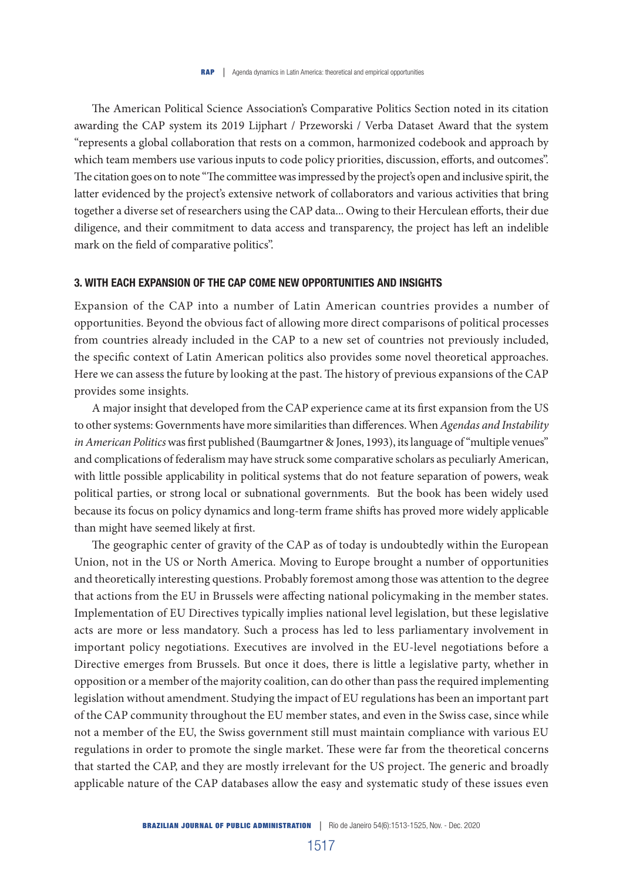The American Political Science Association's Comparative Politics Section noted in its citation awarding the CAP system its 2019 Lijphart / Przeworski / Verba Dataset Award that the system "represents a global collaboration that rests on a common, harmonized codebook and approach by which team members use various inputs to code policy priorities, discussion, efforts, and outcomes". The citation goes on to note "The committee was impressed by the project's open and inclusive spirit, the latter evidenced by the project's extensive network of collaborators and various activities that bring together a diverse set of researchers using the CAP data... Owing to their Herculean efforts, their due diligence, and their commitment to data access and transparency, the project has left an indelible mark on the field of comparative politics".

# 3. WITH EACH EXPANSION OF THE CAP COME NEW OPPORTUNITIES AND INSIGHTS

Expansion of the CAP into a number of Latin American countries provides a number of opportunities. Beyond the obvious fact of allowing more direct comparisons of political processes from countries already included in the CAP to a new set of countries not previously included, the specific context of Latin American politics also provides some novel theoretical approaches. Here we can assess the future by looking at the past. The history of previous expansions of the CAP provides some insights.

A major insight that developed from the CAP experience came at its first expansion from the US to other systems: Governments have more similarities than differences. When *Agendas and Instability in American Politics* was first published (Baumgartner & Jones, 1993), its language of "multiple venues" and complications of federalism may have struck some comparative scholars as peculiarly American, with little possible applicability in political systems that do not feature separation of powers, weak political parties, or strong local or subnational governments. But the book has been widely used because its focus on policy dynamics and long-term frame shifts has proved more widely applicable than might have seemed likely at first.

The geographic center of gravity of the CAP as of today is undoubtedly within the European Union, not in the US or North America. Moving to Europe brought a number of opportunities and theoretically interesting questions. Probably foremost among those was attention to the degree that actions from the EU in Brussels were affecting national policymaking in the member states. Implementation of EU Directives typically implies national level legislation, but these legislative acts are more or less mandatory. Such a process has led to less parliamentary involvement in important policy negotiations. Executives are involved in the EU-level negotiations before a Directive emerges from Brussels. But once it does, there is little a legislative party, whether in opposition or a member of the majority coalition, can do other than pass the required implementing legislation without amendment. Studying the impact of EU regulations has been an important part of the CAP community throughout the EU member states, and even in the Swiss case, since while not a member of the EU, the Swiss government still must maintain compliance with various EU regulations in order to promote the single market. These were far from the theoretical concerns that started the CAP, and they are mostly irrelevant for the US project. The generic and broadly applicable nature of the CAP databases allow the easy and systematic study of these issues even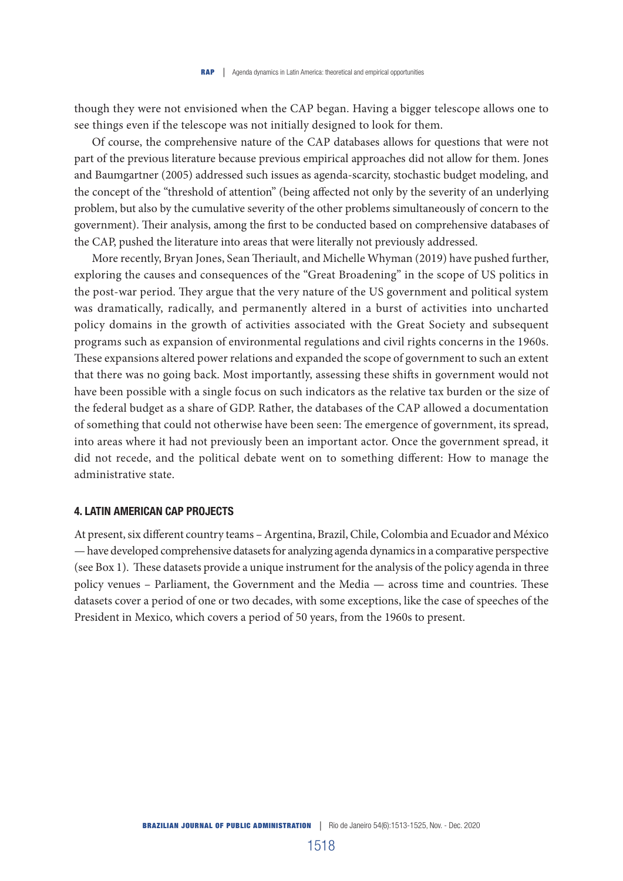though they were not envisioned when the CAP began. Having a bigger telescope allows one to see things even if the telescope was not initially designed to look for them.

Of course, the comprehensive nature of the CAP databases allows for questions that were not part of the previous literature because previous empirical approaches did not allow for them. Jones and Baumgartner (2005) addressed such issues as agenda-scarcity, stochastic budget modeling, and the concept of the "threshold of attention" (being affected not only by the severity of an underlying problem, but also by the cumulative severity of the other problems simultaneously of concern to the government). Their analysis, among the first to be conducted based on comprehensive databases of the CAP, pushed the literature into areas that were literally not previously addressed.

More recently, Bryan Jones, Sean Theriault, and Michelle Whyman (2019) have pushed further, exploring the causes and consequences of the "Great Broadening" in the scope of US politics in the post-war period. They argue that the very nature of the US government and political system was dramatically, radically, and permanently altered in a burst of activities into uncharted policy domains in the growth of activities associated with the Great Society and subsequent programs such as expansion of environmental regulations and civil rights concerns in the 1960s. These expansions altered power relations and expanded the scope of government to such an extent that there was no going back. Most importantly, assessing these shifts in government would not have been possible with a single focus on such indicators as the relative tax burden or the size of the federal budget as a share of GDP. Rather, the databases of the CAP allowed a documentation of something that could not otherwise have been seen: The emergence of government, its spread, into areas where it had not previously been an important actor. Once the government spread, it did not recede, and the political debate went on to something different: How to manage the administrative state.

#### 4. LATIN AMERICAN CAP PROJECTS

At present, six different country teams – Argentina, Brazil, Chile, Colombia and Ecuador and México — have developed comprehensive datasets for analyzing agenda dynamics in a comparative perspective (see Box 1). These datasets provide a unique instrument for the analysis of the policy agenda in three policy venues – Parliament, the Government and the Media — across time and countries. These datasets cover a period of one or two decades, with some exceptions, like the case of speeches of the President in Mexico, which covers a period of 50 years, from the 1960s to present.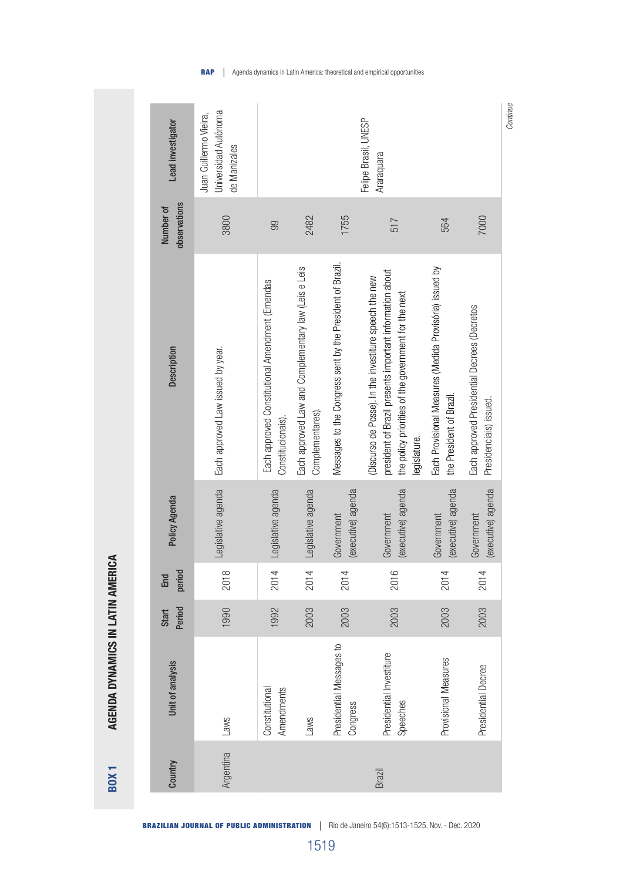| Lead investigator         | <b>Jniversidad Autónoma</b><br>Juan Guillermo Vieira,<br>de Manizales | Felipe Brasil, UNESP<br>Araraquara                                   |                                                                          |                                                           |                                                                                                                                                                                            |                                                                                     |                                                                        |  |
|---------------------------|-----------------------------------------------------------------------|----------------------------------------------------------------------|--------------------------------------------------------------------------|-----------------------------------------------------------|--------------------------------------------------------------------------------------------------------------------------------------------------------------------------------------------|-------------------------------------------------------------------------------------|------------------------------------------------------------------------|--|
| observations<br>Number of | 3800                                                                  | 99                                                                   | 2482                                                                     | 1755                                                      | 517                                                                                                                                                                                        | 564                                                                                 | 7000                                                                   |  |
| Description               | Each approved Law issued by year.                                     | Each approved Constitutional Amendment (Emendas<br>Constitucionais). | Each approved Law and Complementary law (Leis e Leis<br>Complementares). | Messages to the Congress sent by the President of Brazil. | president of Brazil presents important information about<br>(Discurso de Posse). In the investiture speech the new<br>the policy priorities of the government for the next<br>legislature. | Each Provisional Measures (Medida Provisória) issued by<br>the President of Brazil. | Each approved Presidential Decrees (Decretos<br>Presidencials) issued. |  |
| Policy Agenda             | Legislative agenda                                                    | Legislative agenda                                                   | Legislative agenda                                                       | (executive) agenda<br>Government                          | (executive) agenda<br>Government                                                                                                                                                           | (executive) agenda<br>Government                                                    | (executive) agenda<br>Government                                       |  |
| period<br>End             | 2018                                                                  | 2014                                                                 | 2014                                                                     | 2014                                                      | 2016                                                                                                                                                                                       | 2014                                                                                | 2014                                                                   |  |
| Period<br>Start           | 1990                                                                  | 1992                                                                 | 2003                                                                     | 2003                                                      | 2003                                                                                                                                                                                       | 2003                                                                                | 2003                                                                   |  |
| Unit of analysis          | Laws                                                                  | Amendments<br>Constitutional                                         | Laws                                                                     | Presidential Messages to<br>Congress                      | Presidential Investiture<br>Speeches                                                                                                                                                       | Provisional Measures                                                                | Presidential Decree                                                    |  |
| Country                   | Argentina                                                             |                                                                      |                                                                          |                                                           | Brazil                                                                                                                                                                                     |                                                                                     |                                                                        |  |

**RAP** | Agenda dynamics in Latin America: theoretical and empirical opportunities

*Continue*

BRAZILIAN JOURNAL OF PUBLIC ADMINISTRATION |Rio de Janeiro 54(6):1513-1525, Nov. - Dec. 2020

AGENDA DYNAMICS IN LATIN AMERICA BOX 1 AGENDA DYNAMICS IN LATIN AMERICA

**BOX1**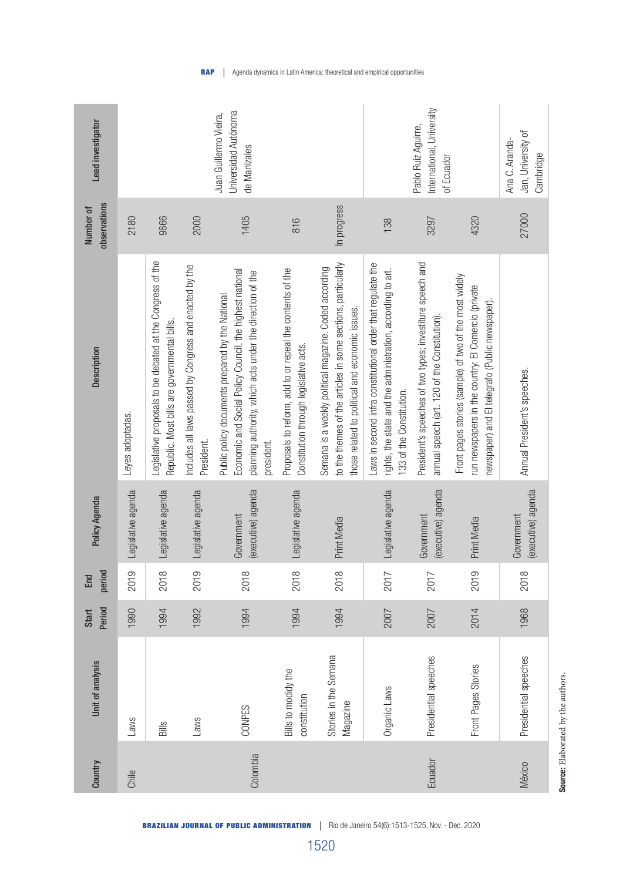| Lead investigator<br>observations<br>Number of | Universidad Autónoma<br>Juan Guillermo Vieira,<br>de Manizales<br>9866<br>1405<br>2180<br>2000 |                                                                                                            |                                                                      |                                                                                                                                                                                         | 816                                                                                                 | In progress                                                                                                                                                               | 138                                                                                                                                                    | of Ecuador<br>4320                                                                                         |                                                                                                                                                                  |  |
|------------------------------------------------|------------------------------------------------------------------------------------------------|------------------------------------------------------------------------------------------------------------|----------------------------------------------------------------------|-----------------------------------------------------------------------------------------------------------------------------------------------------------------------------------------|-----------------------------------------------------------------------------------------------------|---------------------------------------------------------------------------------------------------------------------------------------------------------------------------|--------------------------------------------------------------------------------------------------------------------------------------------------------|------------------------------------------------------------------------------------------------------------|------------------------------------------------------------------------------------------------------------------------------------------------------------------|--|
| Description                                    | Leyes adoptadas.                                                                               | Legislative proposals to be debated at the Congress of the<br>Republic. Most bills are governmental bills. | Includes all laws passed by Congress and enacted by the<br>President | Economic and Social Policy Council, the highest national<br>planning authority, which acts under the direction of the<br>Public policy documents prepared by the National<br>president. | Proposals to reform, add to or repeal the contents of the<br>Constitution through legislative acts. | to the themes of the articles in some sections, particularly<br>Semana is a weekly political magazine. Coded according<br>those related to political and economic issues. | Laws in second infra constitutional order that regulate the<br>rights, the state and the administration, according to art.<br>133 of the Constitution. | President's speeches of two types; investiture speech and<br>annual speech (art. 120 of the Constitution). | Front pages stories (sample) of two of the most widely<br>run newspapers in the country: El Comercio (private<br>newspaper) and El telegrafo (Public newspaper). |  |
| Policy Agenda                                  | Legislative agenda                                                                             | Legislative agenda                                                                                         | Legislative agenda                                                   | (executive) agenda<br>Government                                                                                                                                                        | Legislative agenda                                                                                  | Print Media                                                                                                                                                               | Legislative agenda                                                                                                                                     | (executive) agenda<br>Government                                                                           | Print Media                                                                                                                                                      |  |
| period<br>End                                  | 2019                                                                                           | 2018                                                                                                       | 2019                                                                 | 2018                                                                                                                                                                                    | 2018                                                                                                | 2018                                                                                                                                                                      | 2017                                                                                                                                                   | 2017                                                                                                       | 2019                                                                                                                                                             |  |
| Period<br>Start                                | 1990                                                                                           | 1994                                                                                                       | 1992                                                                 | 1994                                                                                                                                                                                    | 1994                                                                                                | 1994                                                                                                                                                                      | 2007                                                                                                                                                   | 2007                                                                                                       | 2014                                                                                                                                                             |  |
| Unit of analysis                               | Laws                                                                                           | Bills                                                                                                      | Laws                                                                 | CONPES                                                                                                                                                                                  | Bills to modidy the<br>constitution                                                                 | Stories in the Semana<br>Magazine                                                                                                                                         | Organic Laws                                                                                                                                           | Presidential speeches                                                                                      | Front Pages Stories                                                                                                                                              |  |
| Country                                        | Chile                                                                                          |                                                                                                            |                                                                      | Colombia                                                                                                                                                                                |                                                                                                     |                                                                                                                                                                           |                                                                                                                                                        | Ecuador                                                                                                    |                                                                                                                                                                  |  |

**RAP** | Agenda dynamics in Latin America: theoretical and empirical opportunities

BRAZILIAN JOURNAL OF PUBLIC ADMINISTRATION |Rio de Janeiro 54(6):1513-1525, Nov. - Dec. 2020

1520

Source: Elaborated by the authors. Source: Elaborated by the authors.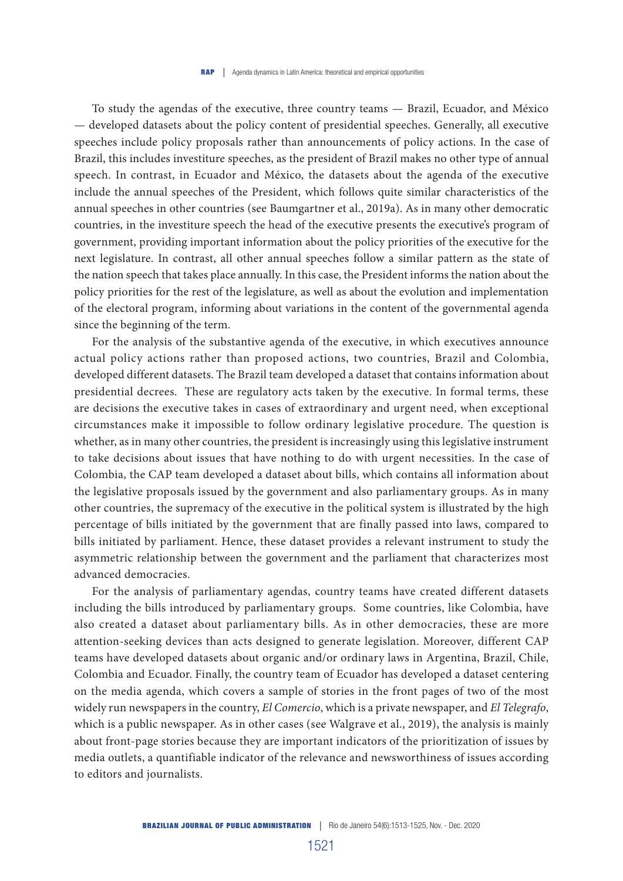To study the agendas of the executive, three country teams — Brazil, Ecuador, and México — developed datasets about the policy content of presidential speeches. Generally, all executive speeches include policy proposals rather than announcements of policy actions. In the case of Brazil, this includes investiture speeches, as the president of Brazil makes no other type of annual speech. In contrast, in Ecuador and México, the datasets about the agenda of the executive include the annual speeches of the President, which follows quite similar characteristics of the annual speeches in other countries (see Baumgartner et al., 2019a). As in many other democratic countries, in the investiture speech the head of the executive presents the executive's program of government, providing important information about the policy priorities of the executive for the next legislature. In contrast, all other annual speeches follow a similar pattern as the state of the nation speech that takes place annually. In this case, the President informs the nation about the policy priorities for the rest of the legislature, as well as about the evolution and implementation of the electoral program, informing about variations in the content of the governmental agenda since the beginning of the term.

For the analysis of the substantive agenda of the executive, in which executives announce actual policy actions rather than proposed actions, two countries, Brazil and Colombia, developed different datasets. The Brazil team developed a dataset that contains information about presidential decrees. These are regulatory acts taken by the executive. In formal terms, these are decisions the executive takes in cases of extraordinary and urgent need, when exceptional circumstances make it impossible to follow ordinary legislative procedure. The question is whether, as in many other countries, the president is increasingly using this legislative instrument to take decisions about issues that have nothing to do with urgent necessities. In the case of Colombia, the CAP team developed a dataset about bills, which contains all information about the legislative proposals issued by the government and also parliamentary groups. As in many other countries, the supremacy of the executive in the political system is illustrated by the high percentage of bills initiated by the government that are finally passed into laws, compared to bills initiated by parliament. Hence, these dataset provides a relevant instrument to study the asymmetric relationship between the government and the parliament that characterizes most advanced democracies.

For the analysis of parliamentary agendas, country teams have created different datasets including the bills introduced by parliamentary groups. Some countries, like Colombia, have also created a dataset about parliamentary bills. As in other democracies, these are more attention-seeking devices than acts designed to generate legislation. Moreover, different CAP teams have developed datasets about organic and/or ordinary laws in Argentina, Brazil, Chile, Colombia and Ecuador. Finally, the country team of Ecuador has developed a dataset centering on the media agenda, which covers a sample of stories in the front pages of two of the most widely run newspapers in the country, *El Comercio*, which is a private newspaper, and *El Telegrafo*, which is a public newspaper. As in other cases (see Walgrave et al., 2019), the analysis is mainly about front-page stories because they are important indicators of the prioritization of issues by media outlets, a quantifiable indicator of the relevance and newsworthiness of issues according to editors and journalists.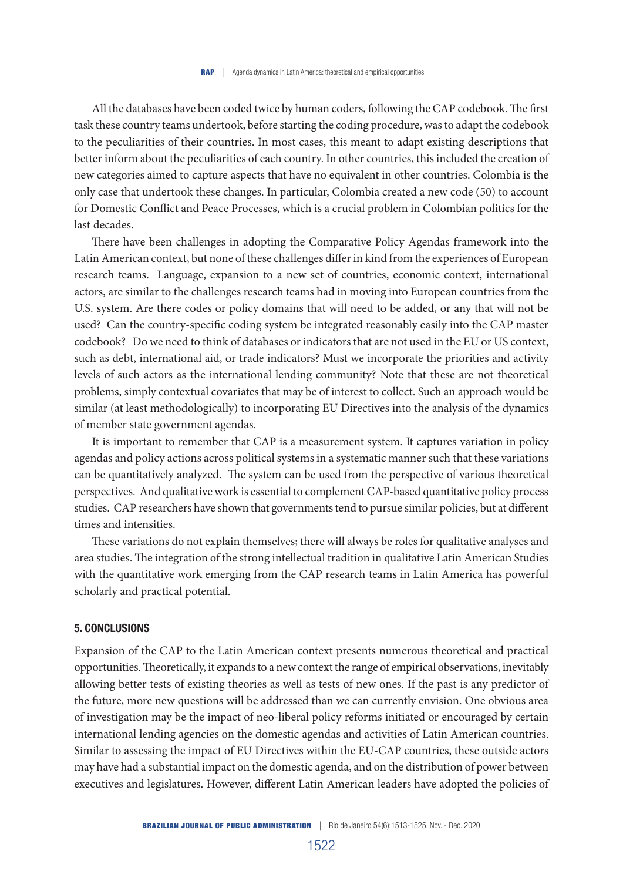All the databases have been coded twice by human coders, following the CAP codebook. The first task these country teams undertook, before starting the coding procedure, was to adapt the codebook to the peculiarities of their countries. In most cases, this meant to adapt existing descriptions that better inform about the peculiarities of each country. In other countries, this included the creation of new categories aimed to capture aspects that have no equivalent in other countries. Colombia is the only case that undertook these changes. In particular, Colombia created a new code (50) to account for Domestic Conflict and Peace Processes, which is a crucial problem in Colombian politics for the last decades.

There have been challenges in adopting the Comparative Policy Agendas framework into the Latin American context, but none of these challenges differ in kind from the experiences of European research teams. Language, expansion to a new set of countries, economic context, international actors, are similar to the challenges research teams had in moving into European countries from the U.S. system. Are there codes or policy domains that will need to be added, or any that will not be used? Can the country-specific coding system be integrated reasonably easily into the CAP master codebook? Do we need to think of databases or indicators that are not used in the EU or US context, such as debt, international aid, or trade indicators? Must we incorporate the priorities and activity levels of such actors as the international lending community? Note that these are not theoretical problems, simply contextual covariates that may be of interest to collect. Such an approach would be similar (at least methodologically) to incorporating EU Directives into the analysis of the dynamics of member state government agendas.

It is important to remember that CAP is a measurement system. It captures variation in policy agendas and policy actions across political systems in a systematic manner such that these variations can be quantitatively analyzed. The system can be used from the perspective of various theoretical perspectives. And qualitative work is essential to complement CAP-based quantitative policy process studies. CAP researchers have shown that governments tend to pursue similar policies, but at different times and intensities.

These variations do not explain themselves; there will always be roles for qualitative analyses and area studies. The integration of the strong intellectual tradition in qualitative Latin American Studies with the quantitative work emerging from the CAP research teams in Latin America has powerful scholarly and practical potential.

#### 5. CONCLUSIONS

Expansion of the CAP to the Latin American context presents numerous theoretical and practical opportunities. Theoretically, it expands to a new context the range of empirical observations, inevitably allowing better tests of existing theories as well as tests of new ones. If the past is any predictor of the future, more new questions will be addressed than we can currently envision. One obvious area of investigation may be the impact of neo-liberal policy reforms initiated or encouraged by certain international lending agencies on the domestic agendas and activities of Latin American countries. Similar to assessing the impact of EU Directives within the EU-CAP countries, these outside actors may have had a substantial impact on the domestic agenda, and on the distribution of power between executives and legislatures. However, different Latin American leaders have adopted the policies of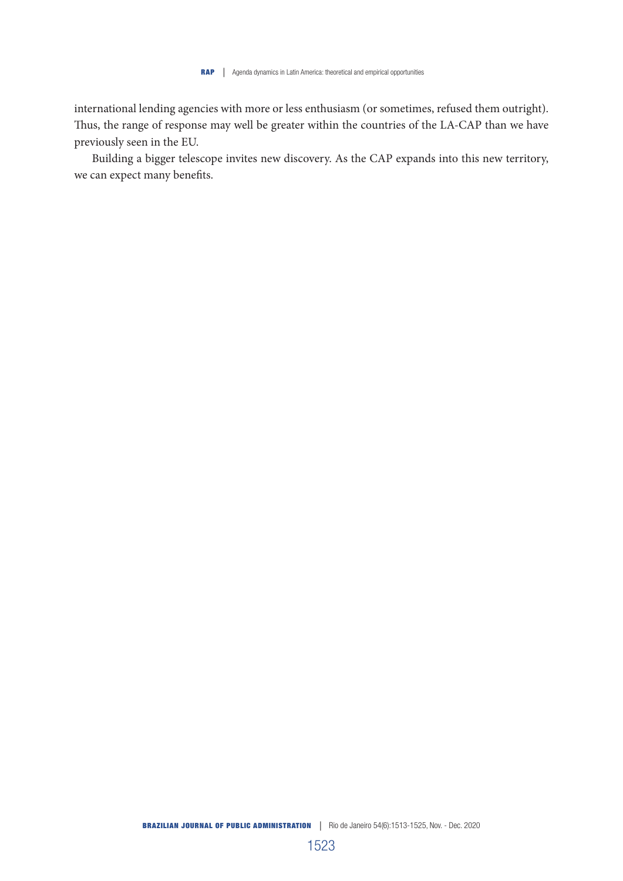international lending agencies with more or less enthusiasm (or sometimes, refused them outright). Thus, the range of response may well be greater within the countries of the LA-CAP than we have previously seen in the EU.

Building a bigger telescope invites new discovery. As the CAP expands into this new territory, we can expect many benefits.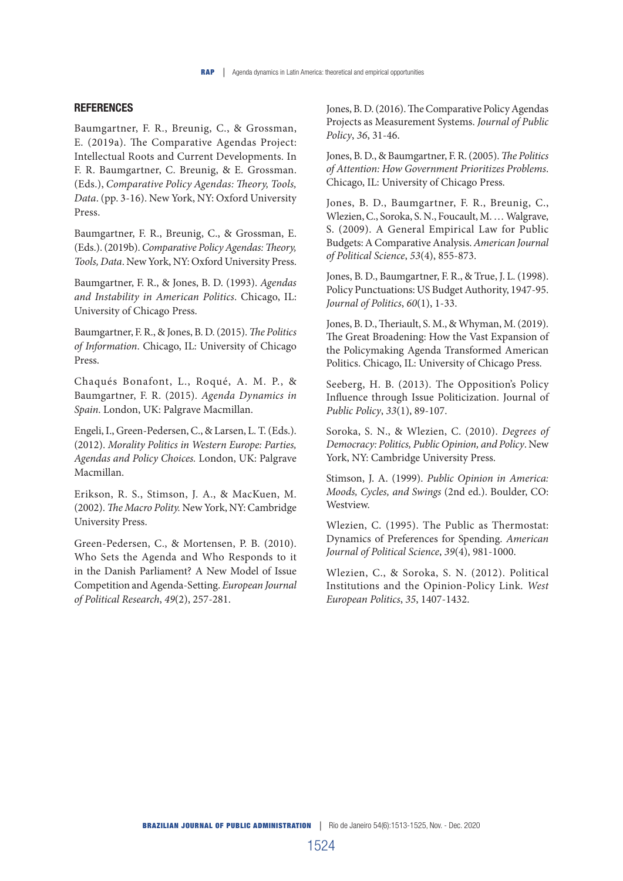# **REFERENCES**

Baumgartner, F. R., Breunig, C., & Grossman, E. (2019a). The Comparative Agendas Project: Intellectual Roots and Current Developments. In F. R. Baumgartner, C. Breunig, & E. Grossman. (Eds.), *Comparative Policy Agendas: Theory, Tools, Data*. (pp. 3-16). New York, NY: Oxford University Press.

Baumgartner, F. R., Breunig, C., & Grossman, E. (Eds.). (2019b). *Comparative Policy Agendas: Theory, Tools, Data*. New York, NY: Oxford University Press.

Baumgartner, F. R., & Jones, B. D. (1993). *Agendas and Instability in American Politics*. Chicago, IL: University of Chicago Press.

Baumgartner, F. R., & Jones, B. D. (2015). *The Politics of Information*. Chicago, IL: University of Chicago Press.

Chaqués Bonafont, L., Roqué, A. M. P., & Baumgartner, F. R. (2015). *Agenda Dynamics in Spain*. London, UK: Palgrave Macmillan.

Engeli, I., Green-Pedersen, C., & Larsen, L. T. (Eds.). (2012). *Morality Politics in Western Europe: Parties, Agendas and Policy Choices.* London, UK: Palgrave Macmillan.

Erikson, R. S., Stimson, J. A., & MacKuen, M. (2002). *The Macro Polity.* New York, NY: Cambridge University Press.

Green-Pedersen, C., & Mortensen, P. B. (2010). Who Sets the Agenda and Who Responds to it in the Danish Parliament? A New Model of Issue Competition and Agenda-Setting. *European Journal of Political Research*, *49*(2), 257-281.

Jones, B. D. (2016). The Comparative Policy Agendas Projects as Measurement Systems. *Journal of Public Policy*, *36*, 31-46.

Jones, B. D., & Baumgartner, F. R. (2005). *The Politics of Attention: How Government Prioritizes Problems*. Chicago, IL: University of Chicago Press.

Jones, B. D., Baumgartner, F. R., Breunig, C., Wlezien, C., Soroka, S. N., Foucault, M. … Walgrave, S. (2009). A General Empirical Law for Public Budgets: A Comparative Analysis. *American Journal of Political Science*, *53*(4), 855-873.

Jones, B. D., Baumgartner, F. R., & True, J. L. (1998). Policy Punctuations: US Budget Authority, 1947-95. *Journal of Politics*, *60*(1), 1-33.

Jones, B. D., Theriault, S. M., & Whyman, M. (2019). The Great Broadening: How the Vast Expansion of the Policymaking Agenda Transformed American Politics. Chicago, IL: University of Chicago Press.

Seeberg, H. B. (2013). The Opposition's Policy Influence through Issue Politicization. Journal of *Public Policy*, *33*(1), 89-107.

Soroka, S. N., & Wlezien, C. (2010). *Degrees of Democracy: Politics, Public Opinion, and Policy*. New York, NY: Cambridge University Press.

Stimson, J. A. (1999). *Public Opinion in America: Moods, Cycles, and Swings* (2nd ed.). Boulder, CO: Westview.

Wlezien, C. (1995). The Public as Thermostat: Dynamics of Preferences for Spending. *American Journal of Political Science*, *39*(4), 981-1000.

Wlezien, C., & Soroka, S. N. (2012). Political Institutions and the Opinion-Policy Link. *West European Politics*, *35*, 1407-1432.